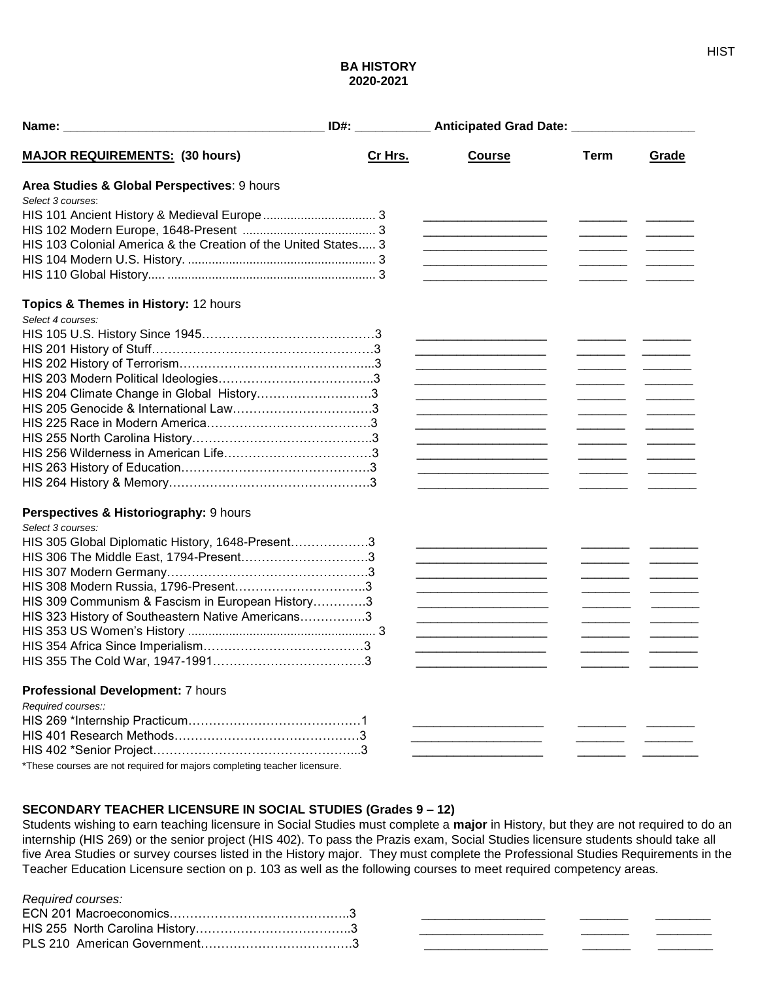# **BA HISTORY 2020-2021**

| <b>MAJOR REQUIREMENTS: (30 hours)</b>                                    | Cr Hrs. | <b>Course</b>                                                              | <b>Term</b> | Grade                                                                                                                                                                                                                                |
|--------------------------------------------------------------------------|---------|----------------------------------------------------------------------------|-------------|--------------------------------------------------------------------------------------------------------------------------------------------------------------------------------------------------------------------------------------|
| Area Studies & Global Perspectives: 9 hours                              |         |                                                                            |             |                                                                                                                                                                                                                                      |
| Select 3 courses:                                                        |         |                                                                            |             |                                                                                                                                                                                                                                      |
|                                                                          |         |                                                                            |             |                                                                                                                                                                                                                                      |
|                                                                          |         |                                                                            |             |                                                                                                                                                                                                                                      |
| HIS 103 Colonial America & the Creation of the United States 3           |         | <u> 1989 - Johann Barbara, martxa al III-lea (h. 1989).</u>                |             |                                                                                                                                                                                                                                      |
|                                                                          |         |                                                                            |             |                                                                                                                                                                                                                                      |
|                                                                          |         | the control of the control of the control of the control of the control of |             |                                                                                                                                                                                                                                      |
| Topics & Themes in History: 12 hours                                     |         |                                                                            |             |                                                                                                                                                                                                                                      |
| Select 4 courses:                                                        |         |                                                                            |             |                                                                                                                                                                                                                                      |
|                                                                          |         |                                                                            |             |                                                                                                                                                                                                                                      |
|                                                                          |         |                                                                            |             |                                                                                                                                                                                                                                      |
|                                                                          |         |                                                                            |             |                                                                                                                                                                                                                                      |
|                                                                          |         | .                                                                          |             |                                                                                                                                                                                                                                      |
| HIS 204 Climate Change in Global History3                                |         |                                                                            |             |                                                                                                                                                                                                                                      |
|                                                                          |         |                                                                            |             |                                                                                                                                                                                                                                      |
|                                                                          |         | .                                                                          |             |                                                                                                                                                                                                                                      |
|                                                                          |         |                                                                            |             |                                                                                                                                                                                                                                      |
|                                                                          |         | .                                                                          |             |                                                                                                                                                                                                                                      |
|                                                                          |         |                                                                            |             |                                                                                                                                                                                                                                      |
|                                                                          |         |                                                                            |             |                                                                                                                                                                                                                                      |
| Perspectives & Historiography: 9 hours                                   |         |                                                                            |             |                                                                                                                                                                                                                                      |
| Select 3 courses:                                                        |         |                                                                            |             |                                                                                                                                                                                                                                      |
| HIS 305 Global Diplomatic History, 1648-Present3                         |         | .                                                                          |             |                                                                                                                                                                                                                                      |
|                                                                          |         | .                                                                          |             |                                                                                                                                                                                                                                      |
|                                                                          |         | .                                                                          |             |                                                                                                                                                                                                                                      |
|                                                                          |         | .                                                                          |             |                                                                                                                                                                                                                                      |
| HIS 309 Communism & Fascism in European History3                         |         |                                                                            |             |                                                                                                                                                                                                                                      |
| HIS 323 History of Southeastern Native Americans3                        |         |                                                                            |             | <u>and the company of the company of the company of the company of the company of the company of the company of the company of the company of the company of the company of the company of the company of the company of the com</u> |
|                                                                          |         |                                                                            |             |                                                                                                                                                                                                                                      |
|                                                                          |         |                                                                            |             |                                                                                                                                                                                                                                      |
|                                                                          |         |                                                                            |             |                                                                                                                                                                                                                                      |
| Professional Development: 7 hours                                        |         |                                                                            |             |                                                                                                                                                                                                                                      |
| Required courses::                                                       |         |                                                                            |             |                                                                                                                                                                                                                                      |
|                                                                          |         |                                                                            |             |                                                                                                                                                                                                                                      |
|                                                                          |         |                                                                            |             |                                                                                                                                                                                                                                      |
|                                                                          |         |                                                                            |             |                                                                                                                                                                                                                                      |
| *These courses are not required for majors completing teacher licensure. |         |                                                                            |             |                                                                                                                                                                                                                                      |

# **SECONDARY TEACHER LICENSURE IN SOCIAL STUDIES (Grades 9 – 12)**

Students wishing to earn teaching licensure in Social Studies must complete a **major** in History, but they are not required to do an internship (HIS 269) or the senior project (HIS 402). To pass the Prazis exam, Social Studies licensure students should take all five Area Studies or survey courses listed in the History major. They must complete the Professional Studies Requirements in the Teacher Education Licensure section on p. 103 as well as the following courses to meet required competency areas.

#### *Required courses:*

| . |  |  |
|---|--|--|
|   |  |  |
|   |  |  |
|   |  |  |